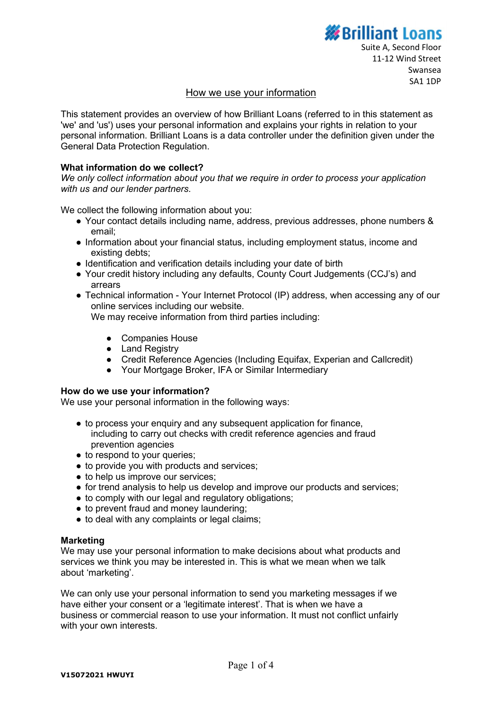# **S**Brilliant Loans

# How we use your information

This statement provides an overview of how Brilliant Loans (referred to in this statement as 'we' and 'us') uses your personal information and explains your rights in relation to your personal information. Brilliant Loans is a data controller under the definition given under the General Data Protection Regulation.

# What information do we collect?

We only collect information about you that we require in order to process your application with us and our lender partners.

We collect the following information about you:

- Your contact details including name, address, previous addresses, phone numbers & email;
- Information about your financial status, including employment status, income and existing debts;
- Identification and verification details including your date of birth
- Your credit history including any defaults, County Court Judgements (CCJ's) and arrears
- Technical information Your Internet Protocol (IP) address, when accessing any of our online services including our website. We may receive information from third parties including:
	- Companies House
	- Land Registry
	- Credit Reference Agencies (Including Equifax, Experian and Callcredit)
	- Your Mortgage Broker, IFA or Similar Intermediary

# How do we use your information?

We use your personal information in the following ways:

- to process your enquiry and any subsequent application for finance, including to carry out checks with credit reference agencies and fraud prevention agencies
- to respond to your queries;
- to provide you with products and services;
- to help us improve our services;
- for trend analysis to help us develop and improve our products and services;
- to comply with our legal and regulatory obligations;
- to prevent fraud and money laundering;
- to deal with any complaints or legal claims;

# **Marketing**

We may use your personal information to make decisions about what products and services we think you may be interested in. This is what we mean when we talk about 'marketing'.

We can only use your personal information to send you marketing messages if we have either your consent or a 'legitimate interest'. That is when we have a business or commercial reason to use your information. It must not conflict unfairly with your own interests.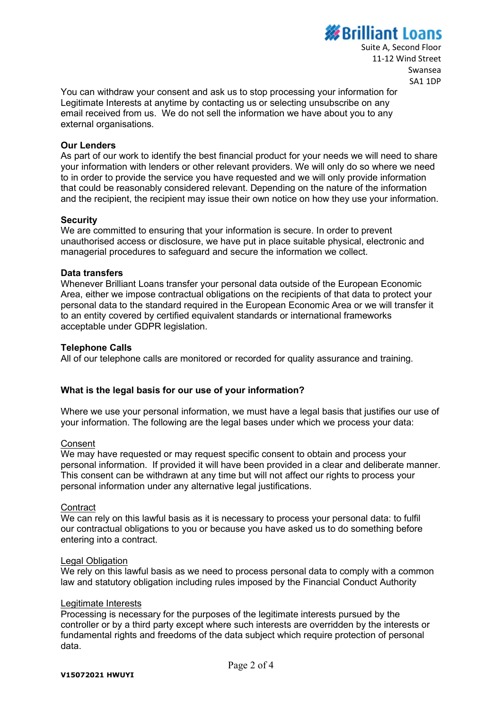# **Brilliant Loans**

Suite A, Second Floor 11-12 Wind Street Swansea SA1 1DP

You can withdraw your consent and ask us to stop processing your information for Legitimate Interests at anytime by contacting us or selecting unsubscribe on any email received from us. We do not sell the information we have about you to any external organisations.

# Our Lenders

As part of our work to identify the best financial product for your needs we will need to share your information with lenders or other relevant providers. We will only do so where we need to in order to provide the service you have requested and we will only provide information that could be reasonably considered relevant. Depending on the nature of the information and the recipient, the recipient may issue their own notice on how they use your information.

#### **Security**

We are committed to ensuring that your information is secure. In order to prevent unauthorised access or disclosure, we have put in place suitable physical, electronic and managerial procedures to safeguard and secure the information we collect.

# Data transfers

Whenever Brilliant Loans transfer your personal data outside of the European Economic Area, either we impose contractual obligations on the recipients of that data to protect your personal data to the standard required in the European Economic Area or we will transfer it to an entity covered by certified equivalent standards or international frameworks acceptable under GDPR legislation.

#### Telephone Calls

All of our telephone calls are monitored or recorded for quality assurance and training.

# What is the legal basis for our use of your information?

Where we use your personal information, we must have a legal basis that justifies our use of your information. The following are the legal bases under which we process your data:

#### **Consent**

We may have requested or may request specific consent to obtain and process your personal information. If provided it will have been provided in a clear and deliberate manner. This consent can be withdrawn at any time but will not affect our rights to process your personal information under any alternative legal justifications.

#### **Contract**

We can rely on this lawful basis as it is necessary to process your personal data: to fulfil our contractual obligations to you or because you have asked us to do something before entering into a contract.

#### Legal Obligation

We rely on this lawful basis as we need to process personal data to comply with a common law and statutory obligation including rules imposed by the Financial Conduct Authority

#### Legitimate Interests

Processing is necessary for the purposes of the legitimate interests pursued by the controller or by a third party except where such interests are overridden by the interests or fundamental rights and freedoms of the data subject which require protection of personal data.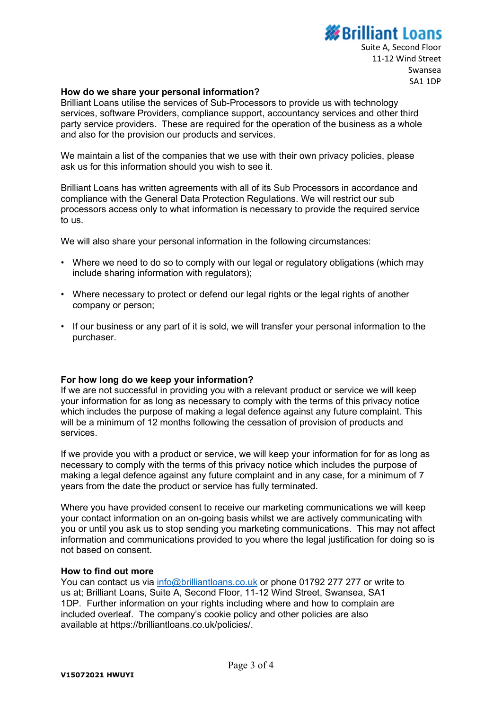# *<u>Xenilliant Loans</u>*

Suite A, Second Floor 11-12 Wind Street Swansea SA1 1DP

# How do we share your personal information?

Brilliant Loans utilise the services of Sub-Processors to provide us with technology services, software Providers, compliance support, accountancy services and other third party service providers. These are required for the operation of the business as a whole and also for the provision our products and services.

We maintain a list of the companies that we use with their own privacy policies, please ask us for this information should you wish to see it.

Brilliant Loans has written agreements with all of its Sub Processors in accordance and compliance with the General Data Protection Regulations. We will restrict our sub processors access only to what information is necessary to provide the required service to us.

We will also share your personal information in the following circumstances:

- Where we need to do so to comply with our legal or regulatory obligations (which may include sharing information with regulators);
- Where necessary to protect or defend our legal rights or the legal rights of another company or person;
- If our business or any part of it is sold, we will transfer your personal information to the purchaser.

# For how long do we keep your information?

If we are not successful in providing you with a relevant product or service we will keep your information for as long as necessary to comply with the terms of this privacy notice which includes the purpose of making a legal defence against any future complaint. This will be a minimum of 12 months following the cessation of provision of products and services.

If we provide you with a product or service, we will keep your information for for as long as necessary to comply with the terms of this privacy notice which includes the purpose of making a legal defence against any future complaint and in any case, for a minimum of 7 years from the date the product or service has fully terminated.

Where you have provided consent to receive our marketing communications we will keep your contact information on an on-going basis whilst we are actively communicating with you or until you ask us to stop sending you marketing communications. This may not affect information and communications provided to you where the legal justification for doing so is not based on consent.

# How to find out more

You can contact us via info@brilliantloans.co.uk or phone 01792 277 277 or write to us at; Brilliant Loans, Suite A, Second Floor, 11-12 Wind Street, Swansea, SA1 1DP. Further information on your rights including where and how to complain are included overleaf. The company's cookie policy and other policies are also available at https://brilliantloans.co.uk/policies/.